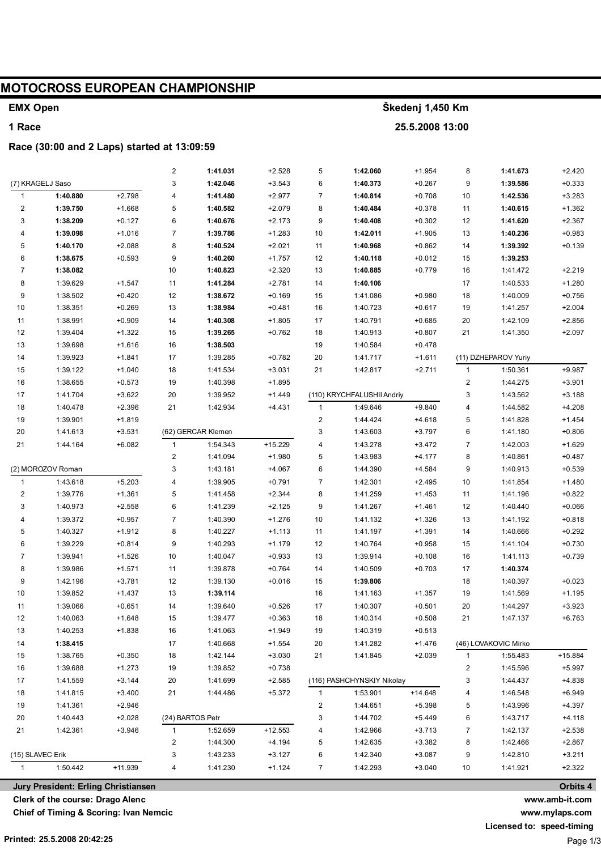| <b>MOTOCROSS EUROPEAN CHAMPIONSHIP</b> |                                                 |                      |                         |                      |                      |                  |                            |                      |              |                      |                      |  |
|----------------------------------------|-------------------------------------------------|----------------------|-------------------------|----------------------|----------------------|------------------|----------------------------|----------------------|--------------|----------------------|----------------------|--|
| <b>EMX Open</b>                        |                                                 |                      |                         |                      |                      | Škedenj 1,450 Km |                            |                      |              |                      |                      |  |
| 1 Race                                 |                                                 |                      |                         |                      |                      | 25.5.2008 13:00  |                            |                      |              |                      |                      |  |
|                                        | Race (30:00 and 2 Laps) started at 13:09:59     |                      |                         |                      |                      |                  |                            |                      |              |                      |                      |  |
|                                        |                                                 |                      | $\overline{\mathbf{c}}$ | 1:41.031             | $+2.528$             | 5                | 1:42.060                   | $+1.954$             | 8            | 1:41.673             | $+2.420$             |  |
|                                        | (7) KRAGELJ Saso                                |                      | 3                       | 1:42.046             | $+3.543$             | 6                | 1:40.373                   | $+0.267$             | 9            | 1:39.586             | $+0.333$             |  |
| $\overline{1}$                         | 1:40.880                                        | $+2.798$             | 4                       | 1:41.480             | $+2.977$             | 7                | 1:40.814                   | $+0.708$             | 10           | 1:42.536             | $+3.283$             |  |
| $\overline{c}$                         | 1:39.750                                        | $+1.668$             | 5                       | 1:40.582             | $+2.079$             | 8                | 1:40.484                   | $+0.378$             | 11           | 1:40.615             | $+1.362$             |  |
| 3                                      | 1:38.209                                        | $+0.127$             | 6                       | 1:40.676             | $+2.173$             | 9                | 1:40.408                   | $+0.302$             | 12           | 1:41.620             | $+2.367$             |  |
| 4                                      | 1:39.098                                        | $+1.016$             | $\overline{7}$          | 1:39.786             | $+1.283$             | 10               | 1:42.011                   | $+1.905$             | 13           | 1:40.236             | $+0.983$             |  |
| 5                                      | 1:40.170                                        | $+2.088$             | 8                       | 1:40.524             | $+2.021$             | 11               | 1:40.968                   | $+0.862$             | 14           | 1:39.392             | $+0.139$             |  |
| 6                                      | 1:38.675                                        | $+0.593$             | 9                       | 1:40.260             | $+1.757$             | 12               | 1:40.118                   | $+0.012$             | 15           | 1:39.253             |                      |  |
| $\overline{7}$                         | 1:38.082                                        |                      | 10                      | 1:40.823             | $+2.320$             | 13               | 1:40.885                   | $+0.779$             | 16           | 1:41.472             | $+2.219$             |  |
| 8                                      | 1:39.629                                        | $+1.547$             | 11                      | 1:41.284             | $+2.781$             | 14               | 1:40.106                   |                      | 17           | 1:40.533             | $+1.280$             |  |
| 9                                      | 1:38.502                                        | $+0.420$             | 12                      | 1:38.672             | $+0.169$             | 15               | 1:41.086                   | $+0.980$             | 18           | 1:40.009             | $+0.756$             |  |
| 10                                     | 1:38.351                                        | $+0.269$             | 13                      | 1:38.984             | $+0.481$             | 16               | 1:40.723                   | $+0.617$             | 19           | 1:41.257             | $+2.004$             |  |
| 11                                     | 1:38.991                                        | $+0.909$             | 14                      | 1:40.308             | $+1.805$             | 17               | 1:40.791                   | $+0.685$             | 20           | 1:42.109             | $+2.856$             |  |
| 12                                     | 1:39.404                                        | $+1.322$             | 15                      | 1:39.265             | $+0.762$             | 18               | 1:40.913                   | $+0.807$             | 21           | 1:41.350             | $+2.097$             |  |
| 13                                     | 1:39.698                                        | $+1.616$             | 16                      | 1:38.503             |                      | 19               | 1:40.584                   | $+0.478$             |              |                      |                      |  |
| 14                                     | 1:39.923                                        | $+1.841$             | 17                      | 1:39.285             | $+0.782$             | 20               | 1:41.717                   | $+1.611$             |              | (11) DZHEPAROV Yuriy |                      |  |
| 15                                     | 1:39.122                                        | $+1.040$             | 18                      | 1:41.534             | $+3.031$             | 21               | 1:42.817                   | $+2.711$             | $\mathbf{1}$ | 1:50.361             | $+9.987$             |  |
| 16                                     | 1:38.655                                        | $+0.573$             | 19                      | 1:40.398             | $+1.895$             |                  |                            |                      | 2            | 1:44.275             | $+3.901$             |  |
| 17                                     | 1:41.704                                        | $+3.622$             | 20                      | 1:39.952             | $+1.449$             |                  | (110) KRYCHFALUSHII Andriy |                      | 3            | 1:43.562             | $+3.188$             |  |
| 18                                     | 1:40.478                                        | $+2.396$             | 21                      | 1:42.934             | +4.431               | $\mathbf{1}$     | 1:49.646                   | $+9.840$             | 4            | 1:44.582             | $+4.208$             |  |
| 19                                     | 1:39.901                                        | $+1.819$             |                         |                      |                      | 2                | 1:44.424                   | $+4.618$             | 5            | 1:41.828             | $+1.454$             |  |
| 20                                     | 1:41.613                                        | $+3.531$             |                         | (62) GERCAR Klemen   |                      | 3                | 1:43.603                   | $+3.797$             | 6            | 1:41.180             | $+0.806$             |  |
| 21                                     | 1:44.164                                        | $+6.082$             | $\overline{1}$          | 1:54.343             | +15.229              | 4                | 1:43.278                   | $+3.472$             | 7            | 1:42.003             | $+1.629$             |  |
|                                        |                                                 |                      | 2                       | 1:41.094             | $+1.980$             | 5                | 1:43.983                   | $+4.177$             | 8            | 1:40.861             | $+0.487$             |  |
|                                        | (2) MOROZOV Roman                               |                      | 3                       | 1:43.181             | $+4.067$             | 6                | 1:44.390                   | $+4.584$             | 9            | 1:40.913             | $+0.539$             |  |
| $\mathbf{1}$<br>$\overline{c}$         | 1:43.618                                        | $+5.203$<br>$+1.361$ | 4<br>5                  | 1:39.905             | $+0.791$<br>$+2.344$ | 7<br>8           | 1:42.301                   | $+2.495$<br>$+1.453$ | 10<br>11     | 1:41.854<br>1:41.196 | $+1.480$             |  |
| 3                                      | 1:39.776<br>1:40.973                            | $+2.558$             | 6                       | 1:41.458<br>1:41.239 | $+2.125$             | 9                | 1:41.259<br>1:41.267       | $+1.461$             | 12           | 1:40.440             | $+0.822$<br>$+0.066$ |  |
| 4                                      | 1:39.372                                        | $+0.957$             | $\overline{7}$          | 1:40.390             | $+1.276$             | 10               | 1:41.132                   | $+1.326$             | 13           | 1:41.192             | $+0.818$             |  |
| 5                                      | 1:40.327                                        | $+1.912$             | 8                       | 1:40.227             | $+1.113$             | 11               | 1:41.197                   | $+1.391$             | 14           | 1:40.666             | $+0.292$             |  |
| 6                                      | 1:39.229                                        | $+0.814$             | 9                       | 1:40.293             | $+1.179$             | 12               | 1:40.764                   | $+0.958$             | 15           | 1:41.104             | $+0.730$             |  |
| 7                                      | 1:39.941                                        | $+1.526$             | 10                      | 1:40.047             | $+0.933$             | 13               | 1:39.914                   | $+0.108$             | 16           | 1:41.113             | $+0.739$             |  |
| 8                                      | 1:39.986                                        | $+1.571$             | 11                      | 1:39.878             | $+0.764$             | 14               | 1:40.509                   | $+0.703$             | 17           | 1:40.374             |                      |  |
| 9                                      | 1:42.196                                        | +3.781               | 12                      | 1:39.130             | $+0.016$             | 15               | 1:39.806                   |                      | 18           | 1:40.397             | $+0.023$             |  |
| 10                                     | 1:39.852                                        | +1.437               | 13                      | 1:39.114             |                      | 16               | 1:41.163                   | $+1.357$             | 19           | 1:41.569             | $+1.195$             |  |
| 11                                     | 1:39.066                                        | $+0.651$             | 14                      | 1:39.640             | $+0.526$             | 17               | 1:40.307                   | $+0.501$             | 20           | 1:44.297             | $+3.923$             |  |
| 12                                     | 1:40.063                                        | $+1.648$             | 15                      | 1:39.477             | $+0.363$             | 18               | 1:40.314                   | $+0.508$             | 21           | 1:47.137             | $+6.763$             |  |
| 13                                     | 1:40.253                                        | +1.838               | 16                      | 1:41.063             | $+1.949$             | 19               | 1:40.319                   | $+0.513$             |              |                      |                      |  |
| 14                                     | 1:38.415                                        |                      | 17                      | 1:40.668             | $+1.554$             | 20               | 1:41.282                   | $+1.476$             |              | (46) LOVAKOVIC Mirko |                      |  |
| 15                                     | 1:38.765                                        | $+0.350$             | 18                      | 1:42.144             | $+3.030$             | 21               | 1:41.845                   | $+2.039$             | $\mathbf{1}$ | 1:55.483             | +15.884              |  |
| 16                                     | 1:39.688                                        | $+1.273$             | 19                      | 1:39.852             | $+0.738$             |                  |                            |                      | 2            | 1:45.596             | $+5.997$             |  |
| 17                                     | 1:41.559                                        | $+3.144$             | 20                      | 1:41.699             | $+2.585$             |                  | (116) PASHCHYNSKIY Nikolay |                      | 3            | 1:44.437             | $+4.838$             |  |
| 18                                     | 1:41.815                                        | $+3.400$             | 21                      | 1:44.486             | $+5.372$             | 1                | 1:53.901                   | $+14.648$            | 4            | 1:46.548             | $+6.949$             |  |
| 19                                     | 1:41.361                                        | $+2.946$             |                         |                      |                      | 2                | 1:44.651                   | $+5.398$             | 5            | 1:43.996             | +4.397               |  |
| 20                                     | 1:40.443                                        | $+2.028$             |                         | (24) BARTOS Petr     |                      | 3                | 1:44.702                   | $+5.449$             | 6            | 1:43.717             | $+4.118$             |  |
| 21                                     | 1:42.361                                        | $+3.946$             | 1                       | 1:52.659             | $+12.553$            | 4                | 1:42.966                   | $+3.713$             | 7            | 1:42.137             | $+2.538$             |  |
|                                        |                                                 |                      | 2                       | 1:44.300             | +4.194               | 5                | 1:42.635                   | $+3.382$             | 8            | 1:42.466             | $+2.867$             |  |
| (15) SLAVEC Erik                       |                                                 |                      | 3                       | 1:43.233             | $+3.127$             | 6                | 1:42.340                   | $+3.087$             | 9            | 1:42.810             | $+3.211$             |  |
| 1:50.442<br>+11.939<br>$\mathbf{1}$    |                                                 |                      | 4                       | 1:41.230             | $+1.124$             | 7                | 1:42.293                   | $+3.040$             | 10           | 1:41.921             | $+2.322$             |  |
|                                        | Orbits 4<br>Jury President: Erling Christiansen |                      |                         |                      |                      |                  |                            |                      |              |                      |                      |  |

Jury President: Erling Christiansen

Clerk of the course: Drago Alenc

Chief of Timing & Scoring: Ivan Nemcic

www.amb-it.com www.mylaps.com

Licensed to: speed-timing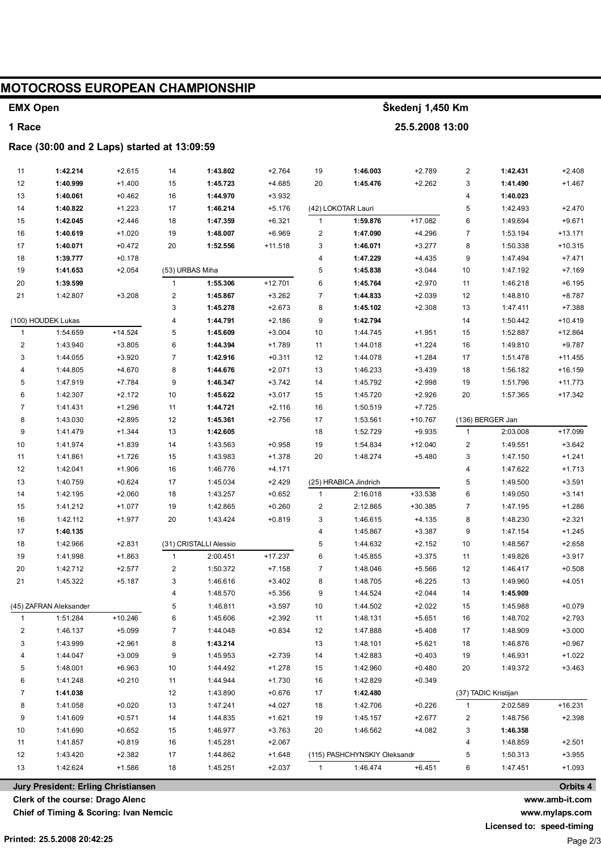## **MOTOCROSS EUROPEAN CHAMPIONSHIP**

## **EMX Open**

## 1 Race

## Race (30:00 and 2 Laps) started at 13:09:59

| 11                      | 1:42.214             | $+2.615$  | 14               | 1:43.802               | $+2.764$  | 19             | 1:46.003                     | $+2.789$  | $\overline{2}$          | 1:42.431             | $+2.408$  |
|-------------------------|----------------------|-----------|------------------|------------------------|-----------|----------------|------------------------------|-----------|-------------------------|----------------------|-----------|
| 12                      | 1:40.999             | $+1.400$  | 15               | 1:45.723               | $+4.685$  | 20             | 1:45.476                     | $+2.262$  | 3                       | 1:41.490             | $+1.467$  |
| 13                      | 1:40.061             | $+0.462$  | 16               | 1:44.970               | $+3.932$  |                |                              |           | 4                       | 1:40.023             |           |
| 14                      | 1:40.822             | $+1.223$  | 17               | 1:46.214               | $+5.176$  |                | (42) LOKOTAR Lauri           |           | 5                       | 1:42.493             | $+2.470$  |
| 15                      | 1:42.045             | $+2.446$  | 18               | 1:47.359               | $+6.321$  | $\mathbf{1}$   | 1:59.876                     | +17.082   | 6                       | 1:49.694             | $+9.671$  |
| 16                      | 1:40.619             | $+1.020$  | 19               | 1:48.007               | $+6.969$  | 2              | 1:47.090                     | $+4.296$  | $\overline{7}$          | 1:53.194             | $+13.171$ |
| 17                      | 1:40.071             | $+0.472$  | 20               | 1:52.556               | $+11.518$ | 3              | 1:46.071                     | $+3.277$  | 8                       | 1:50.338             | $+10.315$ |
| 18                      | 1:39.777             | $+0.178$  |                  |                        |           | 4              | 1:47.229                     | $+4.435$  | 9                       | 1:47.494             | $+7.471$  |
| 19                      | 1:41.653             | $+2.054$  | (53) URBAS Miha  |                        |           | 5              | 1:45.838                     | $+3.044$  | 10                      | 1:47.192             | $+7.169$  |
| 20                      | 1:39.599             |           | $\mathbf{1}$     | 1:55.306               | $+12.701$ | 6              | 1:45.764                     | $+2.970$  | 11                      | 1:46.218             | $+6.195$  |
| 21                      | 1:42.807             | $+3.208$  | $\boldsymbol{2}$ | 1:45.867               | $+3.262$  | $\overline{7}$ | 1:44.833                     | $+2.039$  | 12                      | 1:48.810             | $+8.787$  |
|                         |                      |           | 3                | 1:45.278               | $+2.673$  | 8              | 1:45.102                     | $+2.308$  | 13                      | 1:47.411             | $+7.388$  |
|                         | (100) HOUDEK Lukas   |           | 4                | 1:44.791               | $+2.186$  | 9              | 1:42.794                     |           | 14                      | 1:50.442             | $+10.419$ |
| $\mathbf{1}$            | 1:54.659             | $+14.524$ | 5                | 1:45.609               | $+3.004$  | 10             | 1:44.745                     | $+1.951$  | 15                      | 1:52.887             | $+12.864$ |
| $\overline{\mathbf{c}}$ | 1:43.940             | $+3.805$  | 6                | 1:44.394               | $+1.789$  | 11             | 1:44.018                     | $+1.224$  | 16                      | 1:49.810             | $+9.787$  |
| 3                       | 1:44.055             | $+3.920$  | $\overline{7}$   | 1:42.916               | $+0.311$  | 12             | 1:44.078                     | $+1.284$  | 17                      | 1:51.478             | $+11.455$ |
| 4                       | 1:44.805             | $+4.670$  | 8                | 1:44.676               | $+2.071$  | 13             | 1:46.233                     | $+3.439$  | 18                      | 1:56.182             | $+16.159$ |
| 5                       | 1:47.919             | $+7.784$  | 9                | 1:46.347               | $+3.742$  | 14             | 1:45.792                     | $+2.998$  | 19                      | 1:51.796             | $+11.773$ |
| 6                       | 1:42.307             | $+2.172$  | 10               | 1:45.622               | $+3.017$  | 15             | 1:45.720                     | $+2.926$  | 20                      | 1:57.365             | $+17.342$ |
| $\overline{7}$          | 1:41.431             | $+1.296$  | 11               | 1:44.721               | $+2.116$  | 16             | 1:50.519                     | $+7.725$  |                         |                      |           |
| 8                       | 1:43.030             | $+2.895$  | 12               | 1:45.361               | $+2.756$  | 17             | 1:53.561                     | +10.767   |                         | (136) BERGER Jan     |           |
| 9                       | 1:41.479             | $+1.344$  | 13               | 1:42.605               |           | 18             | 1:52.729                     | $+9.935$  | $\mathbf{1}$            | 2:03.008             | $+17.099$ |
| 10                      | 1:41.974             | $+1.839$  | 14               | 1:43.563               | $+0.958$  | 19             | 1:54.834                     | $+12.040$ | $\overline{\mathbf{c}}$ | 1:49.551             | $+3.642$  |
| 11                      | 1:41.861             | $+1.726$  | 15               | 1:43.983               | $+1.378$  | 20             | 1:48.274                     | $+5.480$  | 3                       | 1:47.150             | $+1.241$  |
| 12                      | 1:42.041             | $+1.906$  | 16               | 1:46.776               | $+4.171$  |                |                              |           | 4                       | 1:47.622             | $+1.713$  |
| 13                      | 1:40.759             | $+0.624$  | 17               | 1:45.034               | $+2.429$  |                | (25) HRABICA Jindrich        |           | 5                       | 1:49.500             | $+3.591$  |
| 14                      | 1:42.195             | $+2.060$  | 18               | 1:43.257               | $+0.652$  | $\mathbf{1}$   | 2:16.018                     | +33.538   | 6                       | 1:49.050             | $+3.141$  |
| 15                      | 1:41.212             | $+1.077$  | 19               | 1:42.865               | $+0.260$  | 2              | 2:12.865                     | $+30.385$ | $\overline{7}$          | 1:47.195             | $+1.286$  |
| 16                      | 1:42.112             | $+1.977$  | 20               | 1:43.424               | $+0.819$  | 3              | 1:46.615                     | $+4.135$  | 8                       | 1:48.230             | $+2.321$  |
| 17                      | 1:40.135             |           |                  |                        |           | 4              | 1:45.867                     | $+3.387$  | 9                       | 1:47.154             | $+1.245$  |
| 18                      | 1:42.966             | $+2.831$  |                  | (31) CRISTALLI Alessio |           | 5              | 1:44.632                     | $+2.152$  | 10                      | 1:48.567             | $+2.658$  |
| 19                      | 1:41.998             | $+1.863$  | $\mathbf{1}$     | 2:00.451               | $+17.237$ | 6              | 1:45.855                     | $+3.375$  | 11                      | 1:49.826             | $+3.917$  |
| 20                      | 1:42.712             | $+2.577$  | $\overline{c}$   | 1:50.372               | $+7.158$  | $\overline{7}$ | 1:48.046                     | $+5.566$  | 12                      | 1:46.417             | $+0.508$  |
| 21                      | 1:45.322             | $+5.187$  | 3                | 1:46.616               | $+3.402$  | 8              | 1:48.705                     | $+6.225$  | 13                      | 1:49.960             | $+4.051$  |
|                         |                      |           | 4                | 1:48.570               | $+5.356$  | 9              | 1:44.524                     | $+2.044$  | 14                      | 1:45.909             |           |
| (45) ZAFRAN Aleksander  |                      | 5         | 1:46.811         | $+3.597$               | 10        | 1:44.502       | $+2.022$                     | 15        | 1:45.988                | $+0.079$             |           |
| $\mathbf{1}$            | 1:51.284             | $+10.246$ | 6                | 1:45.606               | $+2.392$  | 11             | 1:48.131                     | $+5.651$  | 16                      | 1:48.702             | $+2.793$  |
| 2                       | 1:46.137             | $+5.099$  | 7                | 1:44.048               | $+0.834$  | 12             | 1:47.888                     | $+5.408$  | 17                      | 1:48.909             | $+3.000$  |
| 3                       | 1:43.999             | $+2.961$  | 8                | 1:43.214               |           | 13             | 1:48.101                     | $+5.621$  | 18                      | 1:46.876             | $+0.967$  |
| 4                       | 1:44.047             | $+3.009$  | 9                | 1:45.953               | $+2.739$  | 14             | 1:42.883                     | $+0.403$  | 19                      | 1:46.931             | +1.022    |
| 5                       | 1:48.001             | $+6.963$  | 10               | 1:44.492               | $+1.278$  | 15             | 1:42.960                     | $+0.480$  | 20                      | 1:49.372             | $+3.463$  |
| 6                       | 1:41.248             | $+0.210$  | 11               | 1:44.944               | $+1.730$  | 16             | 1:42.829                     | $+0.349$  |                         |                      |           |
| $\overline{7}$          | 1:41.038             |           | 12               | 1:43.890               | $+0.676$  | 17             | 1:42.480                     |           |                         | (37) TADIC Kristijan |           |
| 8                       | 1:41.058             | $+0.020$  | 13               | 1:47.241               | $+4.027$  | 18             | 1:42.706                     | $+0.226$  | $\mathbf{1}$            | 2:02.589             | +16.231   |
| 9                       | 1:41.609             | $+0.571$  | 14               | 1:44.835               | $+1.621$  | 19             | 1:45.157                     | $+2.677$  | 2                       | 1:48.756             | $+2.398$  |
| 10                      | 1:41.690             | $+0.652$  | 15               | 1:46.977               | $+3.763$  | 20             | 1:46.562                     | $+4.082$  | 3                       | 1:46.358             |           |
| 11                      | 1:41.857<br>1:43.420 | $+0.819$  | 16               | 1:45.281               | $+2.067$  |                |                              |           | 4                       | 1:48.859             | $+2.501$  |
| 12                      |                      | $+2.382$  | 17               | 1:44.862               | $+1.648$  |                | (115) PASHCHYNSKIY Oleksandr |           | 5                       | 1:50.313             | $+3.955$  |
| 13                      | 1:42.624             | $+1.586$  | 18               | 1:45.251               | $+2.037$  | 1              | 1:46.474                     | $+6.451$  | 6                       | 1:47.451             | $+1.093$  |

Jury President: Erling Christiansen

Clerk of the course: Drago Alenc

Chief of Timing & Scoring: Ivan Nemcic

www.mylaps.com Licensed to: speed-timing

Page 2/3

Orbits 4

www.amb-it.com

Škedenj 1,450 Km

25.5.2008 13:00